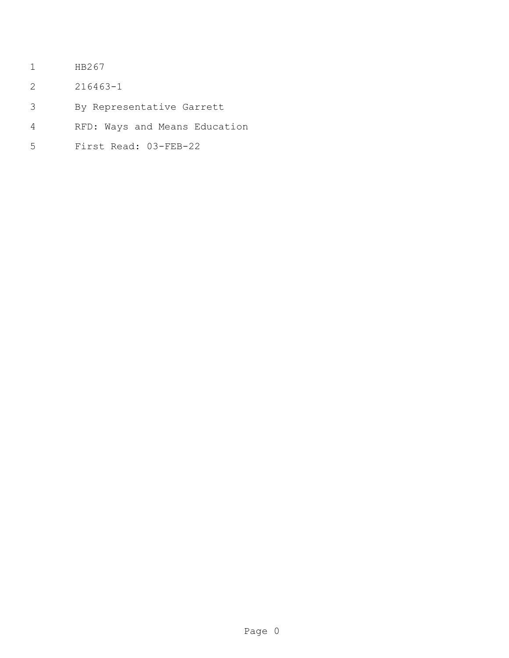- HB267
- 216463-1
- By Representative Garrett
- RFD: Ways and Means Education
- First Read: 03-FEB-22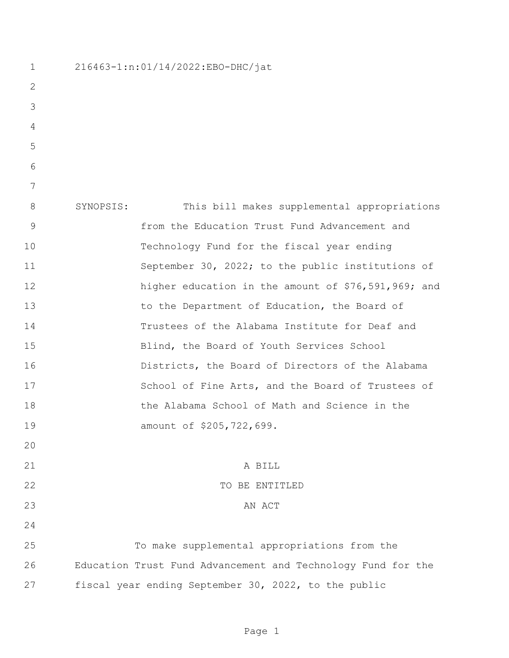| $\mathbf 1$ | 216463-1:n:01/14/2022:EBO-DHC/jat                            |  |  |
|-------------|--------------------------------------------------------------|--|--|
| 2           |                                                              |  |  |
| 3           |                                                              |  |  |
| 4           |                                                              |  |  |
| 5           |                                                              |  |  |
| 6           |                                                              |  |  |
| 7           |                                                              |  |  |
| 8           | This bill makes supplemental appropriations<br>SYNOPSIS:     |  |  |
| 9           | from the Education Trust Fund Advancement and                |  |  |
| 10          | Technology Fund for the fiscal year ending                   |  |  |
| 11          | September 30, 2022; to the public institutions of            |  |  |
| 12          | higher education in the amount of \$76,591,969; and          |  |  |
| 13          | to the Department of Education, the Board of                 |  |  |
| 14          | Trustees of the Alabama Institute for Deaf and               |  |  |
| 15          | Blind, the Board of Youth Services School                    |  |  |
| 16          | Districts, the Board of Directors of the Alabama             |  |  |
| 17          | School of Fine Arts, and the Board of Trustees of            |  |  |
| 18          | the Alabama School of Math and Science in the                |  |  |
| 19          | amount of \$205,722,699.                                     |  |  |
| 20          |                                                              |  |  |
| 21          | A BILL                                                       |  |  |
| 22          | TO BE ENTITLED                                               |  |  |
| 23          | AN ACT                                                       |  |  |
| 24          |                                                              |  |  |
| 25          | To make supplemental appropriations from the                 |  |  |
| 26          | Education Trust Fund Advancement and Technology Fund for the |  |  |
| 27          | fiscal year ending September 30, 2022, to the public         |  |  |
|             |                                                              |  |  |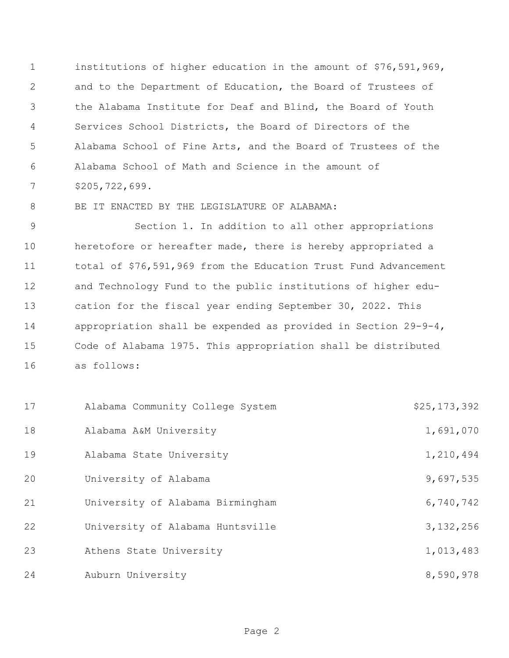institutions of higher education in the amount of \$76,591,969, and to the Department of Education, the Board of Trustees of the Alabama Institute for Deaf and Blind, the Board of Youth Services School Districts, the Board of Directors of the Alabama School of Fine Arts, and the Board of Trustees of the Alabama School of Math and Science in the amount of \$205,722,699.

8 BE IT ENACTED BY THE LEGISLATURE OF ALABAMA:

 Section 1. In addition to all other appropriations heretofore or hereafter made, there is hereby appropriated a total of \$76,591,969 from the Education Trust Fund Advancement and Technology Fund to the public institutions of higher edu- cation for the fiscal year ending September 30, 2022. This appropriation shall be expended as provided in Section 29-9-4, Code of Alabama 1975. This appropriation shall be distributed as follows:

| 17 | Alabama Community College System | \$25,173,392 |
|----|----------------------------------|--------------|
| 18 | Alabama A&M University           | 1,691,070    |
| 19 | Alabama State University         | 1,210,494    |
| 20 | University of Alabama            | 9,697,535    |
| 21 | University of Alabama Birmingham | 6,740,742    |
| 22 | University of Alabama Huntsville | 3, 132, 256  |
| 23 | Athens State University          | 1,013,483    |
| 24 | Auburn University                | 8,590,978    |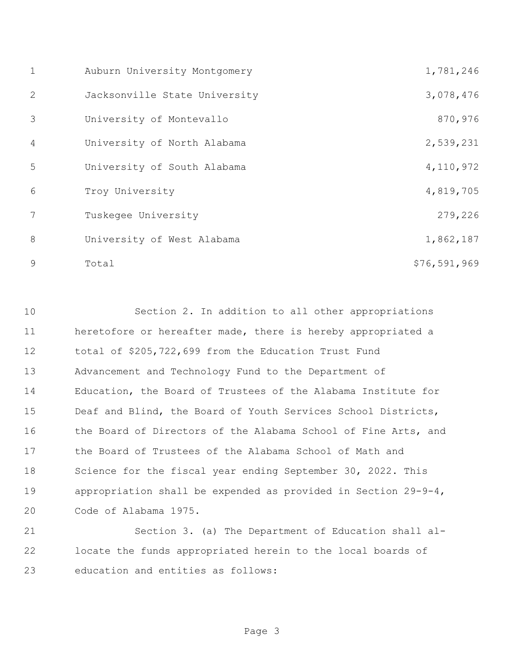| $\mathbf{1}$   | Auburn University Montgomery  | 1,781,246    |
|----------------|-------------------------------|--------------|
| 2              | Jacksonville State University | 3,078,476    |
| 3              | University of Montevallo      | 870,976      |
| $\overline{4}$ | University of North Alabama   | 2,539,231    |
| 5              | University of South Alabama   | 4,110,972    |
| 6              | Troy University               | 4,819,705    |
| 7              | Tuskegee University           | 279,226      |
| 8              | University of West Alabama    | 1,862,187    |
| 9              | Total                         | \$76,591,969 |

 Section 2. In addition to all other appropriations heretofore or hereafter made, there is hereby appropriated a total of \$205,722,699 from the Education Trust Fund Advancement and Technology Fund to the Department of Education, the Board of Trustees of the Alabama Institute for Deaf and Blind, the Board of Youth Services School Districts, 16 the Board of Directors of the Alabama School of Fine Arts, and the Board of Trustees of the Alabama School of Math and Science for the fiscal year ending September 30, 2022. This appropriation shall be expended as provided in Section 29-9-4, Code of Alabama 1975.

 Section 3. (a) The Department of Education shall al- locate the funds appropriated herein to the local boards of education and entities as follows: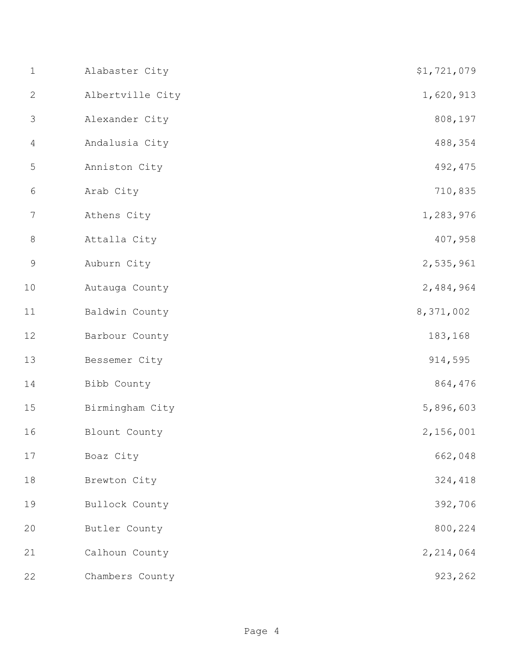| $\mathbf 1$    | Alabaster City   | \$1,721,079 |
|----------------|------------------|-------------|
| $\mathbf{2}$   | Albertville City | 1,620,913   |
| $\mathfrak{Z}$ | Alexander City   | 808,197     |
| $\overline{4}$ | Andalusia City   | 488,354     |
| 5              | Anniston City    | 492, 475    |
| $\sqrt{6}$     | Arab City        | 710,835     |
| 7              | Athens City      | 1,283,976   |
| $8\,$          | Attalla City     | 407,958     |
| $\mathcal{G}$  | Auburn City      | 2,535,961   |
| 10             | Autauga County   | 2,484,964   |
| 11             | Baldwin County   | 8,371,002   |
| 12             | Barbour County   | 183,168     |
| 13             | Bessemer City    | 914,595     |
| 14             | Bibb County      | 864,476     |
| 15             | Birmingham City  | 5,896,603   |
| 16             | Blount County    | 2,156,001   |
| 17             | Boaz City        | 662,048     |
| 18             | Brewton City     | 324,418     |
| 19             | Bullock County   | 392,706     |
| 20             | Butler County    | 800,224     |
| 21             | Calhoun County   | 2, 214, 064 |
| 22             | Chambers County  | 923,262     |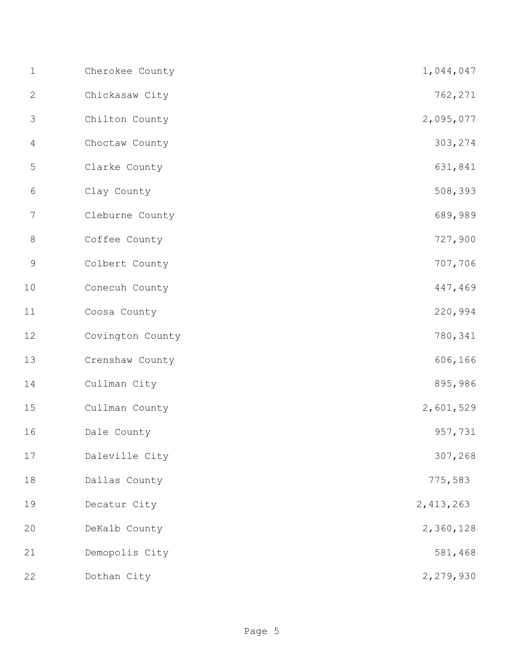| $\mathbf 1$    | Cherokee County  | 1,044,047   |
|----------------|------------------|-------------|
| $\mathbf{2}$   | Chickasaw City   | 762,271     |
| 3              | Chilton County   | 2,095,077   |
| 4              | Choctaw County   | 303,274     |
| 5              | Clarke County    | 631,841     |
| 6              | Clay County      | 508,393     |
| $\overline{7}$ | Cleburne County  | 689,989     |
| $8\,$          | Coffee County    | 727,900     |
| $\mathsf 9$    | Colbert County   | 707,706     |
| 10             | Conecuh County   | 447,469     |
| 11             | Coosa County     | 220,994     |
| 12             | Covington County | 780,341     |
| 13             | Crenshaw County  | 606,166     |
| 14             | Cullman City     | 895,986     |
| 15             | Cullman County   | 2,601,529   |
| 16             | Dale County      | 957,731     |
| 17             | Daleville City   | 307,268     |
| 18             | Dallas County    | 775,583     |
| 19             | Decatur City     | 2, 413, 263 |
| 20             | DeKalb County    | 2,360,128   |
| 21             | Demopolis City   | 581,468     |
| 22             | Dothan City      | 2,279,930   |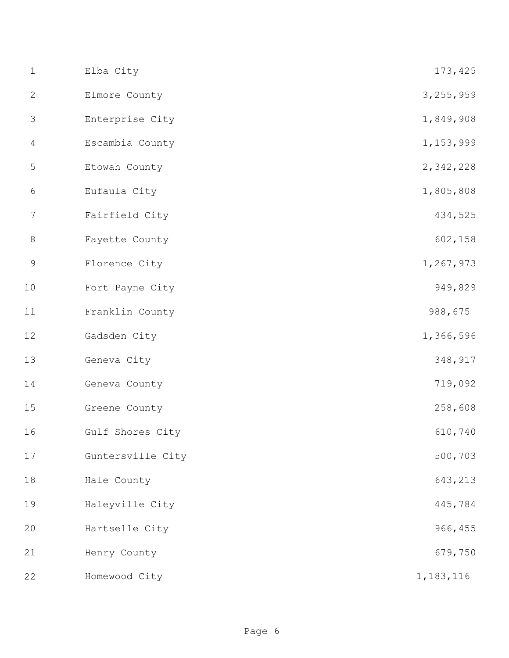| $\mathbf 1$    | Elba City         | 173,425     |
|----------------|-------------------|-------------|
| $\mathbf{2}$   | Elmore County     | 3, 255, 959 |
| $\mathfrak{Z}$ | Enterprise City   | 1,849,908   |
| $\overline{4}$ | Escambia County   | 1,153,999   |
| 5              | Etowah County     | 2,342,228   |
| $\sqrt{6}$     | Eufaula City      | 1,805,808   |
| 7              | Fairfield City    | 434,525     |
| $\,8\,$        | Fayette County    | 602,158     |
| $\mathsf 9$    | Florence City     | 1,267,973   |
| 10             | Fort Payne City   | 949,829     |
| 11             | Franklin County   | 988,675     |
| 12             | Gadsden City      | 1,366,596   |
| 13             | Geneva City       | 348,917     |
| 14             | Geneva County     | 719,092     |
| 15             | Greene County     | 258,608     |
| 16             | Gulf Shores City  | 610,740     |
| 17             | Guntersville City | 500,703     |
| 18             | Hale County       | 643,213     |
| 19             | Haleyville City   | 445,784     |
| 20             | Hartselle City    | 966,455     |
| 21             | Henry County      | 679,750     |
| 22             | Homewood City     | 1, 183, 116 |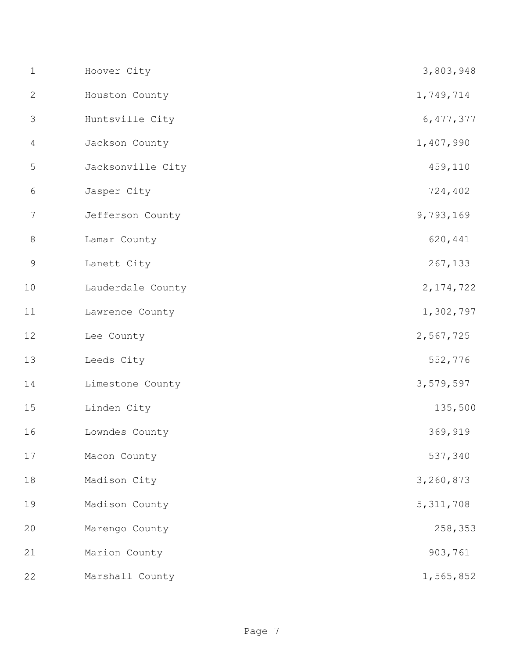| $\mathbf 1$    | Hoover City       | 3,803,948   |
|----------------|-------------------|-------------|
| $\mathbf{2}$   | Houston County    | 1,749,714   |
| 3              | Huntsville City   | 6, 477, 377 |
| $\overline{4}$ | Jackson County    | 1,407,990   |
| 5              | Jacksonville City | 459,110     |
| $\sqrt{6}$     | Jasper City       | 724,402     |
| 7              | Jefferson County  | 9,793,169   |
| $8\,$          | Lamar County      | 620,441     |
| $\mathsf 9$    | Lanett City       | 267,133     |
| 10             | Lauderdale County | 2, 174, 722 |
| 11             | Lawrence County   | 1,302,797   |
| 12             | Lee County        | 2,567,725   |
| 13             | Leeds City        | 552,776     |
| 14             | Limestone County  | 3,579,597   |
| 15             | Linden City       | 135,500     |
| 16             | Lowndes County    | 369,919     |
| $17$           | Macon County      | 537,340     |
| 18             | Madison City      | 3,260,873   |
| 19             | Madison County    | 5, 311, 708 |
| 20             | Marengo County    | 258,353     |
| 21             | Marion County     | 903,761     |
| 22             | Marshall County   | 1,565,852   |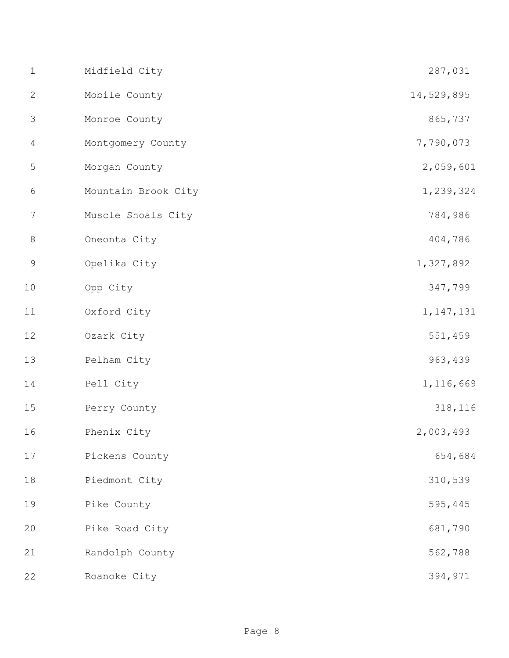| $1\,$          | Midfield City       | 287,031     |
|----------------|---------------------|-------------|
| $\mathbf{2}$   | Mobile County       | 14,529,895  |
| 3              | Monroe County       | 865,737     |
| $\overline{4}$ | Montgomery County   | 7,790,073   |
| $\mathsf S$    | Morgan County       | 2,059,601   |
| $\sqrt{6}$     | Mountain Brook City | 1,239,324   |
| $\overline{7}$ | Muscle Shoals City  | 784,986     |
| $8\,$          | Oneonta City        | 404,786     |
| $\mathsf 9$    | Opelika City        | 1,327,892   |
| 10             | Opp City            | 347,799     |
| 11             | Oxford City         | 1, 147, 131 |
| 12             | Ozark City          | 551,459     |
| 13             | Pelham City         | 963,439     |
| 14             | Pell City           | 1,116,669   |
| 15             | Perry County        | 318,116     |
| 16             | Phenix City         | 2,003,493   |
| 17             | Pickens County      | 654,684     |
| $18$           | Piedmont City       | 310,539     |
| 19             | Pike County         | 595,445     |
| 20             | Pike Road City      | 681,790     |
| 21             | Randolph County     | 562,788     |
| 22             | Roanoke City        | 394,971     |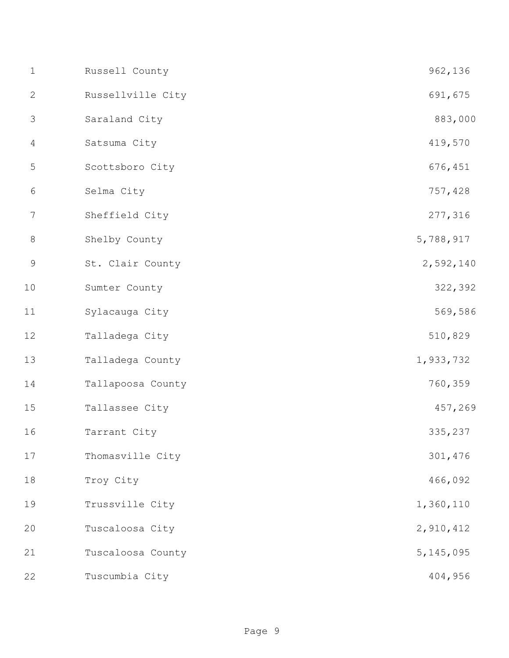| $1\,$          | Russell County    | 962,136     |
|----------------|-------------------|-------------|
| $\mathbf{2}$   | Russellville City | 691,675     |
| 3              | Saraland City     | 883,000     |
| $\overline{4}$ | Satsuma City      | 419,570     |
| 5              | Scottsboro City   | 676,451     |
| $\sqrt{6}$     | Selma City        | 757,428     |
| 7              | Sheffield City    | 277,316     |
| $\,8\,$        | Shelby County     | 5,788,917   |
| $\mathsf 9$    | St. Clair County  | 2,592,140   |
| 10             | Sumter County     | 322,392     |
| 11             | Sylacauga City    | 569,586     |
| 12             | Talladega City    | 510,829     |
| 13             | Talladega County  | 1,933,732   |
| 14             | Tallapoosa County | 760,359     |
| 15             | Tallassee City    | 457,269     |
| 16             | Tarrant City      | 335,237     |
| 17             | Thomasville City  | 301,476     |
| $1\,8$         | Troy City         | 466,092     |
| 19             | Trussville City   | 1,360,110   |
| 20             | Tuscaloosa City   | 2,910,412   |
| 21             | Tuscaloosa County | 5, 145, 095 |
| 22             | Tuscumbia City    | 404,956     |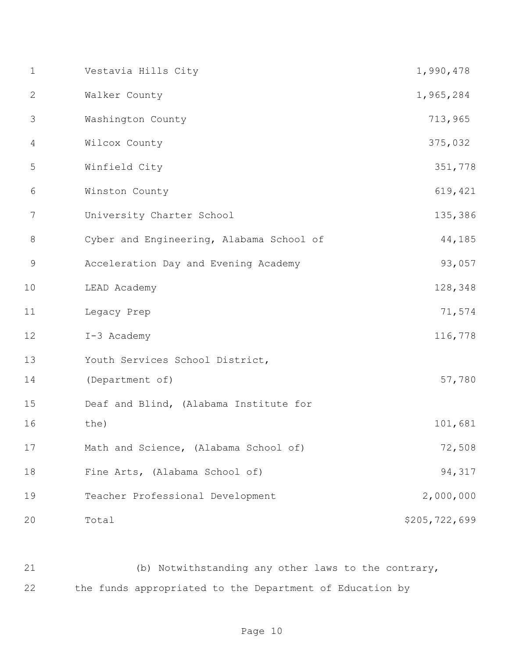| $\mathbf 1$  | Vestavia Hills City                      | 1,990,478     |
|--------------|------------------------------------------|---------------|
| $\mathbf{2}$ | Walker County                            | 1,965,284     |
| 3            | Washington County                        | 713,965       |
| 4            | Wilcox County                            | 375,032       |
| 5            | Winfield City                            | 351,778       |
| 6            | Winston County                           | 619,421       |
| 7            | University Charter School                | 135,386       |
| $\,8\,$      | Cyber and Engineering, Alabama School of | 44,185        |
| $\mathsf 9$  | Acceleration Day and Evening Academy     | 93,057        |
| 10           | LEAD Academy                             | 128,348       |
| 11           | Legacy Prep                              | 71,574        |
| 12           | I-3 Academy                              | 116,778       |
| 13           | Youth Services School District,          |               |
| 14           | (Department of)                          | 57,780        |
| 15           | Deaf and Blind, (Alabama Institute for   |               |
| 16           | the)                                     | 101,681       |
| 17           | Math and Science, (Alabama School of)    | 72,508        |
| 18           | Fine Arts, (Alabama School of)           | 94,317        |
| 19           | Teacher Professional Development         | 2,000,000     |
| 20           | Total                                    | \$205,722,699 |

 (b) Notwithstanding any other laws to the contrary, the funds appropriated to the Department of Education by